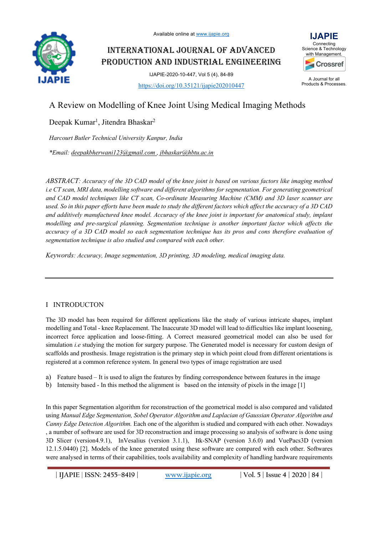

INTERNATIONAL JOURNAL OF ADVANCED PRODUCTION AND INDUSTRIAL ENGINEERING

> IJAPIE-2020-10-447, Vol 5 (4), 84-89 https://doi.org/10.35121/ijapie202010447



A Journal for all Products & Processes.

# A Review on Modelling of Knee Joint Using Medical Imaging Methods

Deepak Kumar<sup>1</sup>, Jitendra Bhaskar<sup>2</sup>

*Harcourt Butler Technical University Kanpur, India*

*\*Email: deepakbherwani123@gmail.com , jbhaskar@hbtu.ac.in*

*ABSTRACT: Accuracy of the 3D CAD model of the knee joint is based on various factors like imaging method i.e CT scan, MRI data, modelling software and different algorithms for segmentation. For generating geometrical and CAD model techniques like CT scan, Co-ordinate Measuring Machine (CMM) and 3D laser scanner are used. So in this paper efforts have been made to study the different factors which affect the accuracy of a 3D CAD and additively manufactured knee model. Accuracy of the knee joint is important for anatomical study, implant modelling and pre-surgical planning. Segmentation technique is another important factor which affects the accuracy of a 3D CAD model so each segmentation technique has its pros and cons therefore evaluation of segmentation technique is also studied and compared with each other.* 

*Keywords: Accuracy, Image segmentation, 3D printing, 3D modeling, medical imaging data.*

# I INTRODUCTON

The 3D model has been required for different applications like the study of various intricate shapes, implant modelling and Total - knee Replacement. The Inaccurate 3D model will lead to difficulties like implant loosening, incorrect force application and loose-fitting. A Correct measured geometrical model can also be used for simulation *i.e* studying the motion for surgery purpose. The Generated model is necessary for custom design of scaffolds and prosthesis. Image registration is the primary step in which point cloud from different orientations is registered at a common reference system. In general two types of image registration are used

- a) Feature based It is used to align the features by finding correspondence between features in the image
- b) Intensity based In this method the alignment is based on the intensity of pixels in the image [1]

In this paper Segmentation algorithm for reconstruction of the geometrical model is also compared and validated using *Manual Edge Segmentation, Sobel Operator Algorithm and Laplacian of Gaussian Operator Algorithm and Canny Edge Detection Algorithm.* Each one of the algorithm is studied and compared with each other. Nowadays , a number of software are used for 3D reconstruction and image processing so analysis of software is done using 3D Slicer (version4.9.1), InVesalius (version 3.1.1), Itk-SNAP (version 3.6.0) and VuePacs3D (version 12.1.5.0440) [2]. Models of the knee generated using these software are compared with each other. Softwares were analysed in terms of their capabilities, tools availability and complexity of handling hardware requirements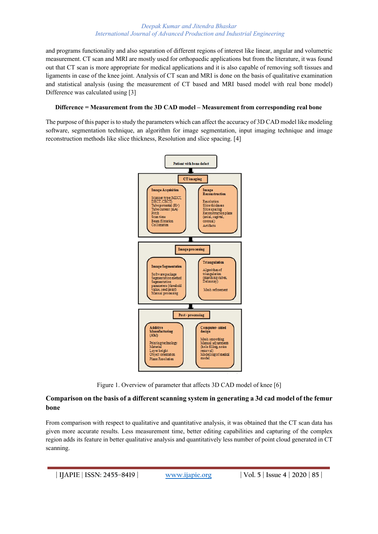#### *Deepak Kumar and Jitendra Bhaskar International Journal of Advanced Production and Industrial Engineering*

and programs functionality and also separation of different regions of interest like linear, angular and volumetric measurement. CT scan and MRI are mostly used for orthopaedic applications but from the literature, it was found out that CT scan is more appropriate for medical applications and it is also capable of removing soft tissues and ligaments in case of the knee joint. Analysis of CT scan and MRI is done on the basis of qualitative examination and statistical analysis (using the measurement of CT based and MRI based model with real bone model) Difference was calculated using [3]

## **Difference = Measurement from the 3D CAD model – Measurement from corresponding real bone**

The purpose of this paper is to study the parameters which can affect the accuracy of 3D CAD model like modeling software, segmentation technique, an algorithm for image segmentation, input imaging technique and image reconstruction methods like slice thickness, Resolution and slice spacing. [4]



Figure 1. Overview of parameter that affects 3D CAD model of knee [6]

# **Comparison on the basis of a different scanning system in generating a 3d cad model of the femur bone**

From comparison with respect to qualitative and quantitative analysis, it was obtained that the CT scan data has given more accurate results. Less measurement time, better editing capabilities and capturing of the complex region adds its feature in better qualitative analysis and quantitatively less number of point cloud generated in CT scanning.

**| IJAPIE** | **ISSN: 2455–8419 | www.ijapie.org | Vol. 5 | Issue 4 | 2020 | 85 |**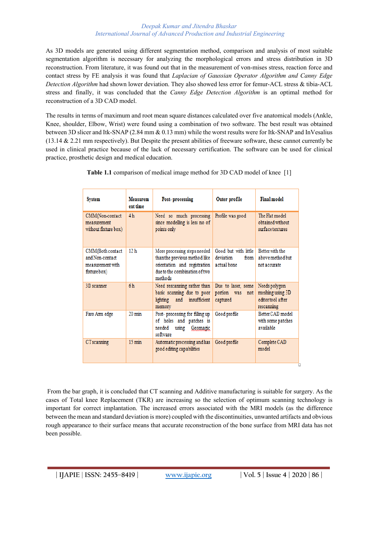#### *Deepak Kumar and Jitendra Bhaskar International Journal of Advanced Production and Industrial Engineering*

As 3D models are generated using different segmentation method, comparison and analysis of most suitable segmentation algorithm is necessary for analyzing the morphological errors and stress distribution in 3D reconstruction. From literature, it was found out that in the measurement of von-mises stress, reaction force and contact stress by FE analysis it was found that *Laplacian of Gaussian Operator Algorithm and Canny Edge Detection Algorithm* had shown lower deviation. They also showed less error for femur-ACL stress & tibia-ACL stress and finally, it was concluded that the *Canny Edge Detection Algorithm* is an optimal method for reconstruction of a 3D CAD model.

The results in terms of maximum and root mean square distances calculated over five anatomical models (Ankle, Knee, shoulder, Elbow, Wrist) were found using a combination of two software. The best result was obtained between 3D slicer and Itk-SNAP (2.84 mm & 0.13 mm) while the worst results were for Itk-SNAP and InVesalius (13.14 & 2.21 mm respectively). But Despite the present abilities of freeware software, these cannot currently be used in clinical practice because of the lack of necessary certification. The software can be used for clinical practice, prosthetic design and medical education.

| <b>System</b>                                                           | <b>Measurem</b><br>ent time | Post-processing                                                                                                                           | Outer profile                                            | <b>Final model</b>                                                  |
|-------------------------------------------------------------------------|-----------------------------|-------------------------------------------------------------------------------------------------------------------------------------------|----------------------------------------------------------|---------------------------------------------------------------------|
| CMM(Non-contact<br>measurement<br>without fixture box)                  | 4 h                         | Need so much processing<br>since modelling is less no of<br>points only                                                                   | Profile was good                                         | The Flat model<br>obtained without<br>surface textures              |
| CMM(Both contact<br>and Non-contact<br>measurement with<br>fixture box) | 12 <sub>h</sub>             | More processing steps needed<br>than the previous method like<br>orientation and registration<br>due to the combination of two<br>methods | Good but with little<br>deviation<br>from<br>actual hone | Better with the<br>above method but<br>not accurate                 |
| 3D scanner                                                              | 6 <sub>h</sub>              | Need rescanning rather than<br>basic scanning due to poor<br>insufficient<br>lighting<br>and<br>memory                                    | Due to laser, some<br>portion<br>was<br>not<br>captured  | Needs polygon<br>meshing using 3D<br>editortool after<br>rescanning |
| Faro Arm edge                                                           | $20 \text{ min}$            | Post-processing for filling up<br>of holes and patches is<br>needed<br>using<br>Geomagic<br>software                                      | Good profile                                             | Better CAD model<br>with some patches<br>available                  |
| CT scanning                                                             | $15 \text{ min}$            | Automatic processing and has<br>good editing capabilities                                                                                 | Good profile                                             | Complete CAD<br>model                                               |

**Table 1.1** comparison of medical image method for 3D CAD model of knee [1]

From the bar graph, it is concluded that CT scanning and Additive manufacturing is suitable for surgery. As the cases of Total knee Replacement (TKR) are increasing so the selection of optimum scanning technology is important for correct implantation. The increased errors associated with the MRI models (as the difference between the mean and standard deviation is more) coupled with the discontinuities, unwanted artifacts and obvious rough appearance to their surface means that accurate reconstruction of the bone surface from MRI data has not been possible.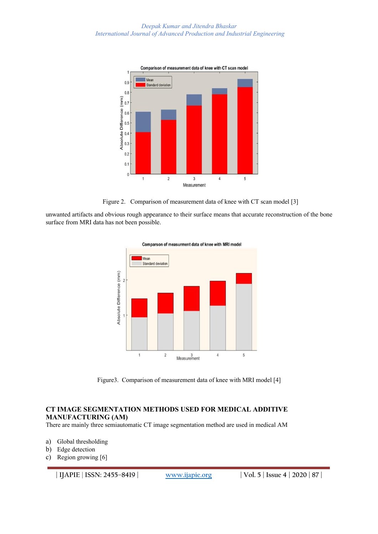

Figure 2. Comparison of measurement data of knee with CT scan model [3]

unwanted artifacts and obvious rough appearance to their surface means that accurate reconstruction of the bone surface from MRI data has not been possible.



Comparson of measurment data of knee with MRI model

Figure3. Comparison of measurement data of knee with MRI model [4]

# **CT IMAGE SEGMENTATION METHODS USED FOR MEDICAL ADDITIVE MANUFACTURING (AM)**

There are mainly three semiautomatic CT image segmentation method are used in medical AM

- a) Global thresholding
- b) Edge detection
- c) Region growing [6]

**| IJAPIE** | **ISSN: 2455–8419 | www.ijapie.org | Vol. 5 | Issue 4 | 2020 | 87 |**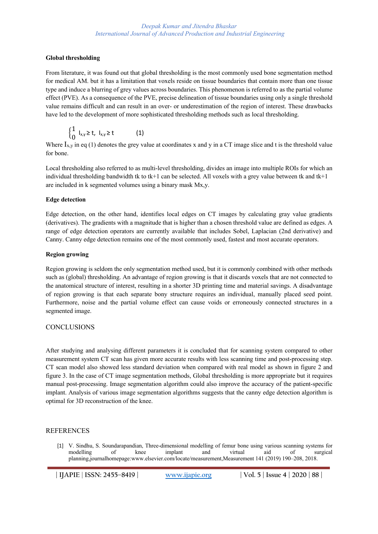#### **Global thresholding**

From literature, it was found out that global thresholding is the most commonly used bone segmentation method for medical AM. but it has a limitation that voxels reside on tissue boundaries that contain more than one tissue type and induce a blurring of grey values across boundaries. This phenomenon is referred to as the partial volume effect (PVE). As a consequence of the PVE, precise delineation of tissue boundaries using only a single threshold value remains difficult and can result in an over- or underestimation of the region of interest. These drawbacks have led to the development of more sophisticated thresholding methods such as local thresholding.

$$
\begin{cases} 1 & |_{x,y} \geq t, \quad |_{x,y} \geq t \end{cases} \tag{1}
$$

Where  $I_{x,y}$  in eq (1) denotes the grey value at coordinates x and y in a CT image slice and t is the threshold value for bone.

Local thresholding also referred to as multi-level thresholding, divides an image into multiple ROIs for which an individual thresholding bandwidth tk to tk+1 can be selected. All voxels with a grey value between tk and tk+1 are included in k segmented volumes using a binary mask Mx,y.

#### **Edge detection**

Edge detection, on the other hand, identifies local edges on CT images by calculating gray value gradients (derivatives). The gradients with a magnitude that is higher than a chosen threshold value are defined as edges. A range of edge detection operators are currently available that includes Sobel, Laplacian (2nd derivative) and Canny. Canny edge detection remains one of the most commonly used, fastest and most accurate operators.

#### **Region growing**

Region growing is seldom the only segmentation method used, but it is commonly combined with other methods such as (global) thresholding. An advantage of region growing is that it discards voxels that are not connected to the anatomical structure of interest, resulting in a shorter 3D printing time and material savings. A disadvantage of region growing is that each separate bony structure requires an individual, manually placed seed point. Furthermore, noise and the partial volume effect can cause voids or erroneously connected structures in a segmented image.

### **CONCLUSIONS**

After studying and analysing different parameters it is concluded that for scanning system compared to other measurement system CT scan has given more accurate results with less scanning time and post-processing step. CT scan model also showed less standard deviation when compared with real model as shown in figure 2 and figure 3. In the case of CT image segmentation methods, Global thresholding is more appropriate but it requires manual post-processing. Image segmentation algorithm could also improve the accuracy of the patient-specific implant. Analysis of various image segmentation algorithms suggests that the canny edge detection algorithm is optimal for 3D reconstruction of the knee.

### REFERENCES

[1] V. Sindhu, S. Soundarapandian, Three-dimensional modelling of femur bone using various scanning systems for modelling of knee implant and virtual aid of surgical planning,journalhomepage:www.elsevier.com/locate/measurement,Measurement 141 (2019) 190–208, 2018.

**| IJAPIE** | **ISSN: 2455–8419 | www.ijapie.org | Vol. 5 | Issue 4 | 2020 | 88 |**